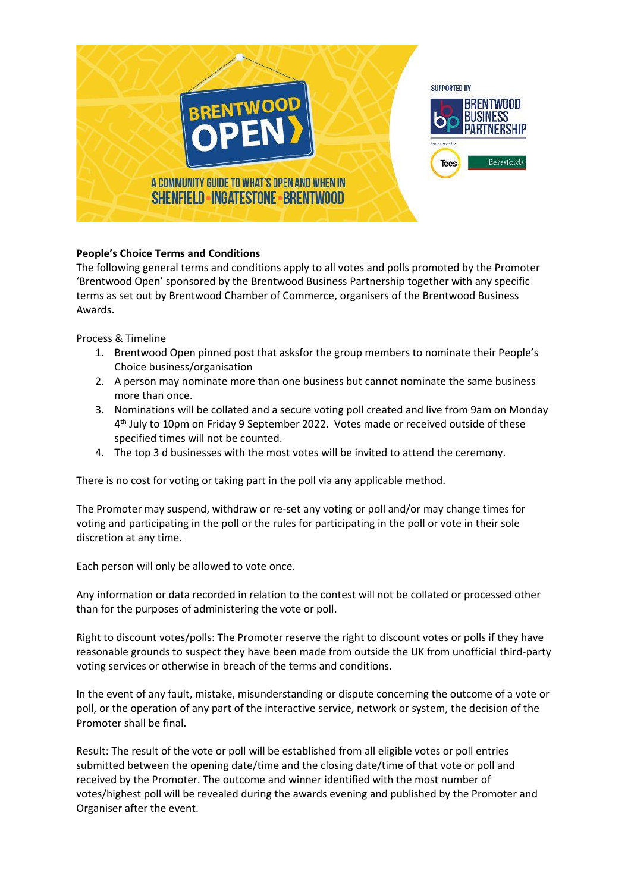

## **People's Choice Terms and Conditions**

The following general terms and conditions apply to all votes and polls promoted by the Promoter 'Brentwood Open' sponsored by the Brentwood Business Partnership together with any specific terms as set out by Brentwood Chamber of Commerce, organisers of the Brentwood Business Awards.

Process & Timeline

- 1. Brentwood Open pinned post that asksfor the group members to nominate their People's Choice business/organisation
- 2. A person may nominate more than one business but cannot nominate the same business more than once.
- 3. Nominations will be collated and a secure voting poll created and live from 9am on Monday 4<sup>th</sup> July to 10pm on Friday 9 September 2022. Votes made or received outside of these specified times will not be counted.
- 4. The top 3 d businesses with the most votes will be invited to attend the ceremony.

There is no cost for voting or taking part in the poll via any applicable method.

The Promoter may suspend, withdraw or re-set any voting or poll and/or may change times for voting and participating in the poll or the rules for participating in the poll or vote in their sole discretion at any time.

Each person will only be allowed to vote once.

Any information or data recorded in relation to the contest will not be collated or processed other than for the purposes of administering the vote or poll.

Right to discount votes/polls: The Promoter reserve the right to discount votes or polls if they have reasonable grounds to suspect they have been made from outside the UK from unofficial third-party voting services or otherwise in breach of the terms and conditions.

In the event of any fault, mistake, misunderstanding or dispute concerning the outcome of a vote or poll, or the operation of any part of the interactive service, network or system, the decision of the Promoter shall be final.

Result: The result of the vote or poll will be established from all eligible votes or poll entries submitted between the opening date/time and the closing date/time of that vote or poll and received by the Promoter. The outcome and winner identified with the most number of votes/highest poll will be revealed during the awards evening and published by the Promoter and Organiser after the event.